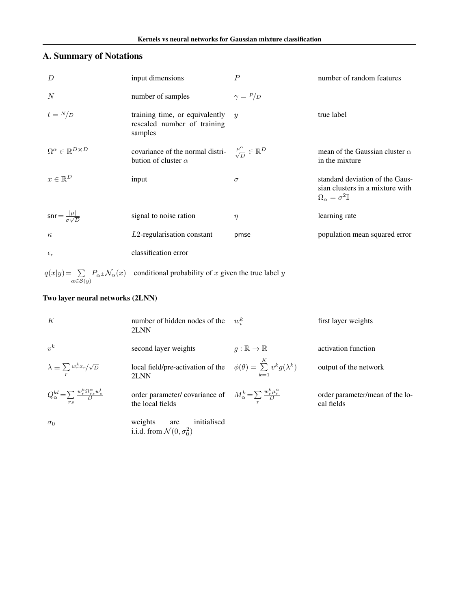# <span id="page-0-0"></span>A. Summary of Notations

| $\overline{D}$                                | input dimensions                                                                                                | $\overline{P}$   | number of random features                                                                                     |
|-----------------------------------------------|-----------------------------------------------------------------------------------------------------------------|------------------|---------------------------------------------------------------------------------------------------------------|
| N                                             | number of samples                                                                                               | $\gamma = P/D$   |                                                                                                               |
| $t = N/D$                                     | training time, or equivalently<br>rescaled number of training<br>samples                                        | $\boldsymbol{y}$ | true label                                                                                                    |
| $\Omega^{\alpha} \in \mathbb{R}^{D \times D}$ | covariance of the normal distri- $\frac{\mu^{\alpha}}{\sqrt{D}} \in \mathbb{R}^D$<br>bution of cluster $\alpha$ |                  | mean of the Gaussian cluster $\alpha$<br>in the mixture                                                       |
| $x \in \mathbb{R}^D$                          | input                                                                                                           | $\sigma$         | standard deviation of the Gaus-<br>sian clusters in a mixture with<br>$\Omega_{\alpha} = \sigma^2 \mathbb{I}$ |
| $snr = \frac{ \mu }{\sigma \sqrt{D}}$         | signal to noise ration                                                                                          | $\eta$           | learning rate                                                                                                 |
| $\kappa$                                      | $L2$ -regularisation constant                                                                                   | pmse             | population mean squared error                                                                                 |
| $\epsilon_c$                                  | classification error                                                                                            |                  |                                                                                                               |
|                                               |                                                                                                                 |                  |                                                                                                               |

 $q(x|y) = \sum_{\alpha \in S(y)} P_{\alpha} \pm \mathcal{N}_{\alpha}(x)$  conditional probability of *x* given the true label *y* 

# Two layer neural networks (2LNN)

| K                                                                     | number of hidden nodes of the<br>2LNN                                                                     | $w_i^k$                     | first layer weights                           |
|-----------------------------------------------------------------------|-----------------------------------------------------------------------------------------------------------|-----------------------------|-----------------------------------------------|
| $v^k$                                                                 | second layer weights                                                                                      | $q:\mathbb{R}\to\mathbb{R}$ | activation function                           |
| $\lambda \equiv \sum_r w_r^k x_r / \sqrt{D}$                          | local field/pre-activation of the $\phi(\theta) = \sum_{k=1}^{K} v^k g(\lambda^k)$<br>2LNN                |                             | output of the network                         |
| $Q^{kl}_\alpha \! = \! \sum \frac{w^k_r \Omega^\alpha_{rs} w^l_s}{D}$ | order parameter/ covariance of $M_{\alpha}^{k} = \sum \frac{w_r^k \mu_r^{\alpha}}{D}$<br>the local fields |                             | order parameter/mean of the lo-<br>cal fields |
| $\sigma_0$                                                            | initialised<br>weights<br>are<br>i.i.d. from $\mathcal{N}(0, \sigma_0^2)$                                 |                             |                                               |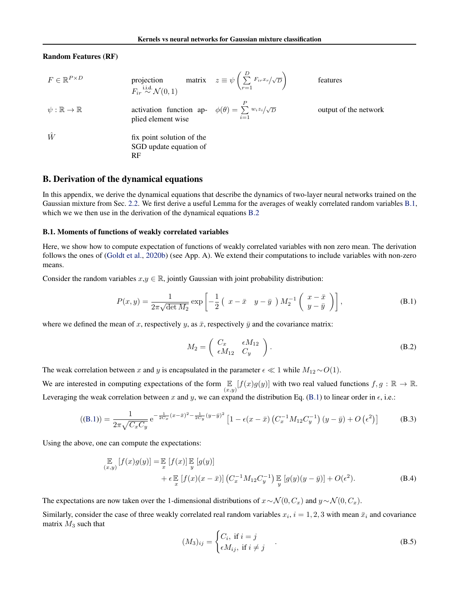## Random Features (RF)

$$
F \in \mathbb{R}^{P \times D}
$$
 projection matrix  $z \equiv \psi \left( \sum_{r=1}^{D} F_{ir} x_r / \sqrt{D} \right)$  features  
\n $F_{ir} \stackrel{i.i.d.}{\sim} \mathcal{N}(0, 1)$   
\n $\psi : \mathbb{R} \to \mathbb{R}$  activation function ap-  $\phi(\theta) = \sum_{i=1}^{P} w_i z_i / \sqrt{D}$  output of the network  
\nplied element wise  
\n $\hat{W}$   
\nfix point solution of the  
\nSGD update equation of  
\nRF

## B. Derivation of the dynamical equations

In this appendix, we derive the dynamical equations that describe the dynamics of two-layer neural networks trained on the Gaussian mixture from Sec. [2.2.](#page-0-0) We first derive a useful Lemma for the averages of weakly correlated random variables [B.1,](#page-0-0) which we we then use in the derivation of the dynamical equations [B.2](#page-0-0)

#### B.1. Moments of functions of weakly correlated variables

Here, we show how to compute expectation of functions of weakly correlated variables with non zero mean. The derivation follows the ones of [\(Goldt et al.,](#page-0-0) [2020b\)](#page-0-0) (see App. A). We extend their computations to include variables with non-zero means.

Consider the random variables  $x, y \in \mathbb{R}$ , jointly Gaussian with joint probability distribution:

$$
P(x,y) = \frac{1}{2\pi\sqrt{\det M_2}} \exp\left[-\frac{1}{2}\left(\begin{array}{cc}x-\bar{x} & y-\bar{y}\end{array}\right)M_2^{-1}\left(\begin{array}{cc}x-\bar{x} \\ y-\bar{y}\end{array}\right)\right],\tag{B.1}
$$

where we defined the mean of x, respectively y, as  $\bar{x}$ , respectively  $\bar{y}$  and the covariance matrix:

$$
M_2 = \begin{pmatrix} C_x & \epsilon M_{12} \\ \epsilon M_{12} & C_y \end{pmatrix}.
$$
 (B.2)

The weak correlation between *x* and *y* is encapsulated in the parameter  $\epsilon \ll 1$  while  $M_{12} \sim O(1)$ .

We are interested in computing expectations of the form  $\mathbb{E}_{(x,y)}[f(x)g(y)]$  with two real valued functions  $f, g : \mathbb{R} \to \mathbb{R}$ . Leveraging the weak correlation between  $x$  and  $y$ , we can expand the distribution Eq. [\(B.1\)](#page-0-0) to linear order in  $\epsilon$ , i.e.:

$$
((B.1)) = \frac{1}{2\pi\sqrt{C_xC_y}} e^{-\frac{1}{2C_x}(x-\bar{x})^2 - \frac{1}{2C_y}(y-\bar{y})^2} \left[1 - \epsilon(x-\bar{x})\left(C_x^{-1}M_{12}C_y^{-1}\right)(y-\bar{y}) + O\left(\epsilon^2\right)\right]
$$
(B.3)

Using the above, one can compute the expectations:

$$
\mathbb{E}_{(x,y)}[f(x)g(y)] = \mathbb{E}_{x}[f(x)] \mathbb{E}_{y}[g(y)] + \epsilon \mathbb{E}_{x}[f(x)(x-\bar{x})] \left(C_{x}^{-1}M_{12}C_{y}^{-1}\right) \mathbb{E}_{y}[g(y)(y-\bar{y})] + O(\epsilon^{2}).
$$
\n(B.4)

The expectations are now taken over the 1-dimensional distributions of  $x \sim \mathcal{N}(0, C_x)$  and  $y \sim \mathcal{N}(0, C_x)$ .

Similarly, consider the case of three weakly correlated real random variables  $x_i$ ,  $i = 1, 2, 3$  with mean  $\bar{x}_i$  and covariance matrix *M*<sup>3</sup> such that

$$
(M_3)_{ij} = \begin{cases} C_i, & \text{if } i = j \\ \epsilon M_{ij}, & \text{if } i \neq j \end{cases}
$$
 (B.5)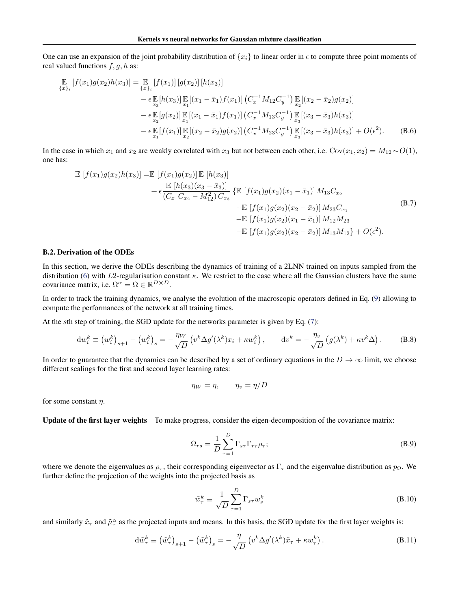One can use an expansion of the joint probability distribution of  $\{x_i\}$  to linear order in  $\epsilon$  to compute three point moments of real valued functions *f, g, h* as:

$$
\mathbb{E}_{\{x\}_i} [f(x_1)g(x_2)h(x_3)] = \mathbb{E}_{\{x\}_i} [f(x_1)] [g(x_2)] [h(x_3)]
$$
\n
$$
- \epsilon \mathbb{E}_{x_3} [h(x_3)] \mathbb{E}_{x_1} [(x_1 - \bar{x}_1) f(x_1)] (C_x^{-1} M_{12} C_y^{-1}) \mathbb{E}_{x_2} [(x_2 - \bar{x}_2) g(x_2)]
$$
\n
$$
- \epsilon \mathbb{E}_{x_2} [g(x_2)] \mathbb{E}_{x_1} [(x_1 - \bar{x}_1) f(x_1)] (C_x^{-1} M_{13} C_y^{-1}) \mathbb{E}_{x_3} [(x_3 - \bar{x}_3) h(x_3)]
$$
\n
$$
- \epsilon \mathbb{E}_{x_1} [f(x_1)] \mathbb{E}_{x_2} [(x_2 - \bar{x}_2) g(x_2)] (C_x^{-1} M_{23} C_y^{-1}) \mathbb{E}_{x_3} [(x_3 - \bar{x}_3) h(x_3)] + O(\epsilon^2).
$$
\n(B.6)

In the case in which  $x_1$  and  $x_2$  are weakly correlated with  $x_3$  but not between each other, i.e.  $Cov(x_1, x_2) = M_{12} \sim O(1)$ , one has:

$$
\mathbb{E}\left[f(x_1)g(x_2)h(x_3)\right] = \mathbb{E}\left[f(x_1)g(x_2)\right]\mathbb{E}\left[h(x_3)\right] \n+ \epsilon \frac{\mathbb{E}\left[h(x_3)(x_3 - \bar{x}_3)\right]}{(C_{x_1}C_{x_2} - M_{12}^2)C_{x_3}} \left\{\mathbb{E}\left[f(x_1)g(x_2)(x_1 - \bar{x}_1)\right]M_{13}C_{x_2} \right. \n+ \mathbb{E}\left[f(x_1)g(x_2)(x_2 - \bar{x}_2)\right]M_{23}C_{x_1} \n- \mathbb{E}\left[f(x_1)g(x_2)(x_1 - \bar{x}_1)\right]M_{12}M_{23} \n- \mathbb{E}\left[f(x_1)g(x_2)(x_2 - \bar{x}_2)\right]M_{13}M_{12} + O(\epsilon^2).
$$
\n(B.7)

#### B.2. Derivation of the ODEs

In this section, we derive the ODEs describing the dynamics of training of a 2LNN trained on inputs sampled from the distribution [\(6\)](#page-0-0) with *L*2-regularisation constant  $\kappa$ . We restrict to the case where all the Gaussian clusters have the same covariance matrix, i.e.  $\Omega^{\alpha} = \Omega \in \mathbb{R}^{D \times D}$ .

In order to track the training dynamics, we analyse the evolution of the macroscopic operators defined in Eq. [\(9\)](#page-0-0) allowing to compute the performances of the network at all training times.

At the *s*th step of training, the SGD update for the networks parameter is given by Eq. [\(7\)](#page-0-0):

$$
\mathrm{d}w_i^k \equiv \left(w_i^k\right)_{s+1} - \left(w_i^k\right)_s = -\frac{\eta_W}{\sqrt{D}} \left(v^k \Delta g'(\lambda^k) x_i + \kappa w_i^k\right), \qquad \mathrm{d}v^k = -\frac{\eta_v}{\sqrt{D}} \left(g(\lambda^k) + \kappa v^k \Delta\right). \tag{B.8}
$$

In order to guarantee that the dynamics can be described by a set of ordinary equations in the  $D \to \infty$  limit, we choose different scalings for the first and second layer learning rates:

$$
\eta_W = \eta, \qquad \eta_v = \eta/D
$$

for some constant  $\eta$ .

Update of the first layer weights To make progress, consider the eigen-decomposition of the covariance matrix:

$$
\Omega_{rs} = \frac{1}{D} \sum_{\tau=1}^{D} \Gamma_{s\tau} \Gamma_{r\tau} \rho_{\tau};
$$
\n(B.9)

where we denote the eigenvalues as  $\rho_{\tau}$ , their corresponding eigenvector as  $\Gamma_{\tau}$  and the eigenvalue distribution as  $p_{\Omega}$ . We further define the projection of the weights into the projected basis as

$$
\tilde{w}_{\tau}^{k} \equiv \frac{1}{\sqrt{D}} \sum_{\tau=1}^{D} \Gamma_{s\tau} w_{s}^{k}
$$
\n(B.10)

and similarly  $\tilde{x}_{\tau}$  and  $\tilde{\mu}_{\tau}^{\alpha}$  as the projected inputs and means. In this basis, the SGD update for the first layer weights is:

$$
\mathrm{d}\tilde{w}_{\tau}^{k} \equiv \left(\tilde{w}_{\tau}^{k}\right)_{s+1} - \left(\tilde{w}_{\tau}^{k}\right)_{s} = -\frac{\eta}{\sqrt{D}}\left(v^{k}\Delta g'(\lambda^{k})\tilde{x}_{\tau} + \kappa w_{\tau}^{k}\right). \tag{B.11}
$$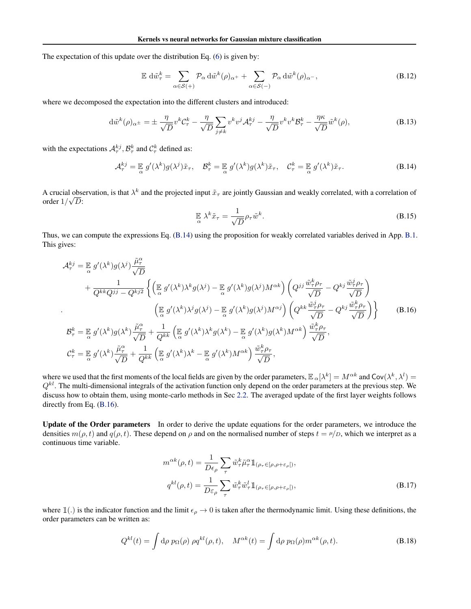The expectation of this update over the distribution Eq. [\(6\)](#page-0-0) is given by:

$$
\mathbb{E} \, d\tilde{w}_{\tau}^{k} = \sum_{\alpha \in \mathcal{S}(+)} \mathcal{P}_{\alpha} \, d\tilde{w}^{k}(\rho)_{\alpha^{+}} + \sum_{\alpha \in \mathcal{S}(-)} \mathcal{P}_{\alpha} \, d\tilde{w}^{k}(\rho)_{\alpha^{-}},
$$
\n(B.12)

where we decomposed the expectation into the different clusters and introduced:

$$
\mathrm{d}\tilde{w}^k(\rho)_{\alpha^{\pm}} = \pm \frac{\eta}{\sqrt{D}} v^k C_{\tau}^k - \frac{\eta}{\sqrt{D}} \sum_{j \neq k} v^k v^j \mathcal{A}_{\tau}^{kj} - \frac{\eta}{\sqrt{D}} v^k v^k \mathcal{B}_{\tau}^k - \frac{\eta \kappa}{\sqrt{D}} \tilde{w}^k(\rho), \tag{B.13}
$$

with the expectations  $A_{\tau}^{kj}$ ,  $B_{\tau}^{k}$  and  $C_{\tau}^{k}$  defined as:

$$
\mathcal{A}_{\tau}^{kj} = \mathbb{E}_{\alpha} g'(\lambda^k) g(\lambda^j) \tilde{x}_{\tau}, \quad \mathcal{B}_{\tau}^k = \mathbb{E}_{\alpha} g'(\lambda^k) g(\lambda^k) \tilde{x}_{\tau}, \quad \mathcal{C}_{\tau}^k = \mathbb{E}_{\alpha} g'(\lambda^k) \tilde{x}_{\tau}.
$$
 (B.14)

A crucial observation, is that  $\lambda^k$  and the projected input  $\tilde{x}_\tau$  are jointly Gaussian and weakly correlated, with a correlation of  $\arctan \theta$ <sup>2</sup>

$$
\mathbb{E}_{\alpha} \lambda^k \tilde{x}_{\tau} = \frac{1}{\sqrt{D}} \rho_{\tau} \tilde{w}^k.
$$
\n(B.15)

Thus, we can compute the expressions Eq. [\(B.14\)](#page-0-0) using the proposition for weakly correlated variables derived in App. [B.1.](#page-0-0) This gives:

$$
\mathcal{A}_{\tau}^{kj} = \mathbb{E} g'(\lambda^{k}) g(\lambda^{j}) \frac{\tilde{\mu}_{\tau}^{\alpha}}{\sqrt{D}} \n+ \frac{1}{Q^{kk} Q^{jj} - Q^{kj2}} \left\{ \left( \mathbb{E} g'(\lambda^{k}) \lambda^{k} g(\lambda^{j}) - \mathbb{E} g'(\lambda^{k}) g(\lambda^{j}) M^{\alpha k} \right) \left( Q^{jj} \frac{\tilde{w}_{\tau}^{k} \rho_{\tau}}{\sqrt{D}} - Q^{kj} \frac{\tilde{w}_{\tau}^{j} \rho_{\tau}}{\sqrt{D}} \right) \right\} \n+ \frac{1}{Q^{kk} Q^{jj} - Q^{kj2}} \left\{ \left( \mathbb{E} g'(\lambda^{k}) \lambda^{j} g(\lambda^{j}) - \mathbb{E} g'(\lambda^{k}) g(\lambda^{j}) M^{\alpha j} \right) \left( Q^{kk} \frac{\tilde{w}_{\tau}^{j} \rho_{\tau}}{\sqrt{D}} - Q^{kj} \frac{\tilde{w}_{\tau}^{k} \rho_{\tau}}{\sqrt{D}} \right) \right\} \n+ \frac{1}{\alpha} g'(\lambda^{k}) g(\lambda^{k}) \frac{\tilde{\mu}_{\tau}^{\alpha}}{\sqrt{D}} + \frac{1}{Q^{kk}} \left( \mathbb{E} g'(\lambda^{k}) \lambda^{k} g(\lambda^{k}) - \mathbb{E} g'(\lambda^{k}) g(\lambda^{k}) M^{\alpha k} \right) \frac{\tilde{w}_{\tau}^{k} \rho_{\tau}}{\sqrt{D}}, \n+ \frac{\tilde{w}_{\tau}^{k} \rho_{\tau}}{\alpha} \right\}
$$
\n(B.16)

where we used that the first moments of the local fields are given by the order parameters,  $\mathbb{E}_{\alpha}[\lambda^k] = M^{\alpha k}$  and  $\text{Cov}(\lambda^k, \lambda^l) =$ *Qkl*. The multi-dimensional integrals of the activation function only depend on the order parameters at the previous step. We discuss how to obtain them, using monte-carlo methods in Sec [2.2.](#page-0-0) The averaged update of the first layer weights follows directly from Eq. [\(B.16\)](#page-0-0).

Update of the Order parameters In order to derive the update equations for the order parameters, we introduce the densities  $m(\rho, t)$  and  $q(\rho, t)$ . These depend on  $\rho$  and on the normalised number of steps  $t = \mu/D$ , which we interpret as a continuous time variable.

$$
m^{\alpha k}(\rho, t) = \frac{1}{D\epsilon_{\rho}} \sum_{\tau} \tilde{w}_{\tau}^{k} \tilde{\mu}_{\tau}^{\alpha} \mathbb{1}_{(\rho_{\tau} \in [\rho, \rho + \varepsilon_{\rho}])},
$$

$$
q^{kl}(\rho, t) = \frac{1}{D\varepsilon_{\rho}} \sum_{\tau} \tilde{w}_{\tau}^{k} \tilde{w}_{\tau}^{l} \mathbb{1}_{(\rho_{\tau} \in [\rho, \rho + \varepsilon_{\rho}])},
$$
(B.17)

where  $\mathbb{1}(.)$  is the indicator function and the limit  $\epsilon_{\rho} \to 0$  is taken after the thermodynamic limit. Using these definitions, the order parameters can be written as:

$$
Q^{kl}(t) = \int d\rho \ p_{\Omega}(\rho) \ \rho q^{kl}(\rho, t), \quad M^{\alpha k}(t) = \int d\rho \ p_{\Omega}(\rho) m^{\alpha k}(\rho, t). \tag{B.18}
$$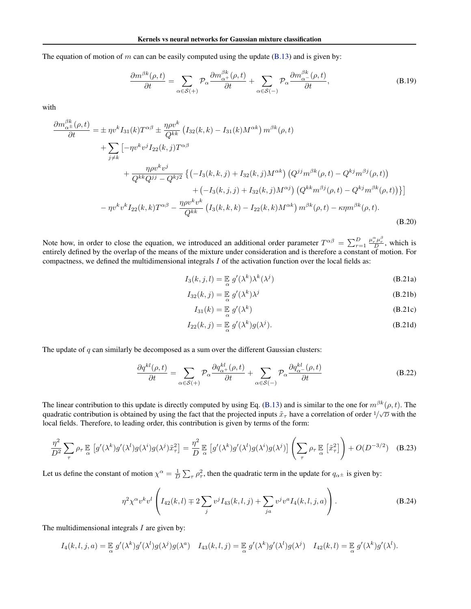The equation of motion of  $m$  can can be easily computed using the update [\(B.13\)](#page-0-0) and is given by:

$$
\frac{\partial m^{\beta k}(\rho,t)}{\partial t} = \sum_{\alpha \in \mathcal{S}(+)} \mathcal{P}_{\alpha} \frac{\partial m_{\alpha^+}^{\beta k}(\rho,t)}{\partial t} + \sum_{\alpha \in \mathcal{S}(-)} \mathcal{P}_{\alpha} \frac{\partial m_{\alpha^-}^{\beta k}(\rho,t)}{\partial t},\tag{B.19}
$$

with

$$
\frac{\partial m_{\alpha^{\pm}}^{\beta k}(\rho,t)}{\partial t} = \pm \eta v^{k} I_{31}(k) T^{\alpha\beta} \pm \frac{\eta \rho v^{k}}{Q^{kk}} \left( I_{32}(k,k) - I_{31}(k) M^{\alpha k} \right) m^{\beta k}(\rho,t) \n+ \sum_{j \neq k} \left[ -\eta v^{k} v^{j} I_{22}(k,j) T^{\alpha\beta} \right. \n+ \frac{\eta \rho v^{k} v^{j}}{Q^{kk} Q^{jj} - Q^{kj2}} \left\{ \left( -I_{3}(k,k,j) + I_{32}(k,j) M^{\alpha k} \right) \left( Q^{jj} m^{\beta k}(\rho,t) - Q^{kj} m^{\beta j}(\rho,t) \right) \right. \n+ \left( -I_{3}(k,j,j) + I_{32}(k,j) M^{\alpha j} \right) \left( Q^{kk} m^{\beta j}(\rho,t) - Q^{kj} m^{\beta k}(\rho,t) \right) \left\} \right] \n- \eta v^{k} v^{k} I_{22}(k,k) T^{\alpha\beta} - \frac{\eta \rho v^{k} v^{k}}{Q^{kk}} \left( I_{3}(k,k,k) - I_{22}(k,k) M^{\alpha k} \right) m^{\beta k}(\rho,t) - \kappa \eta m^{\beta k}(\rho,t).
$$
\n(B.20)

Note how, in order to close the equation, we introduced an additional order parameter  $T^{\alpha\beta} = \sum_{r=1}^{D}$  $\frac{\mu_r^{\alpha} \mu_r^{\beta}}{D}$ , which is entirely defined by the overlap of the means of the mixture under consideration and is therefore a constant of motion. For compactness, we defined the multidimensional integrals *I* of the activation function over the local fields as:

$$
I_3(k,j,l) = \mathbb{E}_{\alpha} g'(\lambda^k) \lambda^k(\lambda^j)
$$
 (B.21a)

$$
I_{32}(k,j) = \mathbb{E}_{\alpha} g'(\lambda^k) \lambda^j
$$
 (B.21b)

$$
I_{31}(k) = \mathbb{E}_{\alpha} g'(\lambda^k)
$$
 (B.21c)

$$
I_{22}(k,j) = \mathbb{E}_{\alpha} g'(\lambda^k) g(\lambda^j).
$$
 (B.21d)

The update of *q* can similarly be decomposed as a sum over the different Gaussian clusters:

$$
\frac{\partial q^{kl}(\rho,t)}{\partial t} = \sum_{\alpha \in \mathcal{S}(+)} \mathcal{P}_{\alpha} \frac{\partial q^{kl}_{\alpha+}(\rho,t)}{\partial t} + \sum_{\alpha \in \mathcal{S}(-)} \mathcal{P}_{\alpha} \frac{\partial q^{kl}_{\alpha-}(\rho,t)}{\partial t}
$$
(B.22)

The linear contribution to this update is directly computed by using Eq. [\(B.13\)](#page-0-0) and is similar to the one for  $m^{\beta k}(\rho, t)$ . The quadratic contribution is obtained by using the fact that the projected inputs  $\tilde{x}_\tau$  have a correlation of order  $1/\sqrt{D}$  with the local fields. Therefore, to leading order, this contribution is given by terms of the form:

$$
\frac{\eta^2}{D^2} \sum_{\tau} \rho_{\tau} \mathbb{E} \left[ g'(\lambda^k) g'(\lambda^l) g(\lambda^i) g(\lambda^j) \tilde{x}_{\tau}^2 \right] = \frac{\eta^2}{D} \mathbb{E} \left[ g'(\lambda^k) g'(\lambda^l) g(\lambda^i) g(\lambda^j) \right] \left( \sum_{\tau} \rho_{\tau} \mathbb{E} \left[ \tilde{x}_{\tau}^2 \right] \right) + O(D^{-3/2}) \quad (B.23)
$$

Let us define the constant of motion  $\chi^{\alpha} = \frac{1}{D} \sum_{\tau} \rho_{\tau}^2$ , then the quadratic term in the update for  $q_{\alpha}$ <sup> $\pm$ </sup> is given by:

$$
\eta^2 \chi^{\alpha} v^k v^l \left( I_{42}(k,l) \mp 2 \sum_j v^j I_{43}(k,l,j) + \sum_{ja} v^j v^a I_4(k,l,j,a) \right). \tag{B.24}
$$

The multidimensional integrals *I* are given by:

$$
I_4(k, l, j, a) = \mathbb{E}_{\alpha} g'(\lambda^k) g'(\lambda^l) g(\lambda^j) g(\lambda^a) \quad I_{43}(k, l, j) = \mathbb{E}_{\alpha} g'(\lambda^k) g'(\lambda^l) g(\lambda^j) \quad I_{42}(k, l) = \mathbb{E}_{\alpha} g'(\lambda^k) g'(\lambda^l).
$$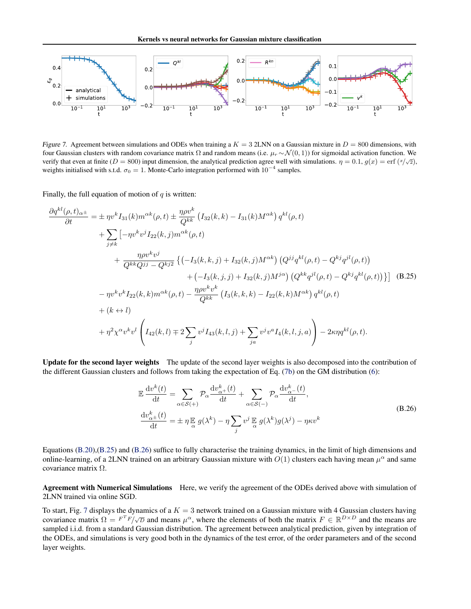

*Figure 7.* Agreement between simulations and ODEs when training a  $K = 3$  2LNN on a Gaussian mixture in  $D = 800$  dimensions, with four Gaussian clusters with random covariance matrix  $\Omega$  and random means (i.e.  $\mu_r \sim \mathcal{N}(0, 1)$ ) for sigmoidal activation function. We verify that even at finite ( $D = 800$ ) input dimension, the analytical prediction agree well with simulations.  $\eta = 0.1$ ,  $g(x) = \text{erf } (\sqrt[x]{2})$ , weights initialised with s.t.d.  $\sigma_0 = 1$ . Monte-Carlo integration performed with  $10^{-4}$  samples.

Finally, the full equation of motion of *q* is written:

$$
\frac{\partial q^{kl}(\rho,t)_{\alpha^{\pm}}}{\partial t} = \pm \eta v^{k} I_{31}(k) m^{\alpha k}(\rho,t) \pm \frac{\eta \rho v^{k}}{Q^{kk}} \left( I_{32}(k,k) - I_{31}(k) M^{\alpha k} \right) q^{kl}(\rho,t) \n+ \sum_{j \neq k} \left[ -\eta v^{k} v^{j} I_{22}(k,j) m^{\alpha k}(\rho,t) \right. \n+ \frac{\eta \rho v^{k} v^{j}}{Q^{kk} Q^{jj} - Q^{kj2}} \left\{ \left( -I_{3}(k,k,j) + I_{32}(k,j) M^{\alpha k} \right) \left( Q^{jj} q^{kl}(\rho,t) - Q^{kj} q^{jl}(\rho,t) \right) \right. \n+ \left( -I_{3}(k,j,j) + I_{32}(k,j) M^{j\alpha} \right) \left( Q^{kk} q^{jl}(\rho,t) - Q^{kj} q^{kl}(\rho,t) \right) \right\} \right] \tag{B.25}
$$
\n
$$
- \eta v^{k} v^{k} I_{22}(k,k) m^{\alpha k}(\rho,t) - \frac{\eta \rho v^{k} v^{k}}{Q^{kk}} \left( I_{3}(k,k,k) - I_{22}(k,k) M^{\alpha k} \right) q^{kl}(\rho,t) \n+ (k \leftrightarrow l) \n+ \eta^{2} \chi^{\alpha} v^{k} v^{l} \left( I_{42}(k,l) \mp 2 \sum_{j} v^{j} I_{43}(k,l,j) + \sum_{ja} v^{j} v^{a} I_{4}(k,l,j,\alpha) \right) - 2\kappa \eta q^{kl}(\rho,t).
$$

Update for the second layer weights The update of the second layer weights is also decomposed into the contribution of the different Gaussian clusters and follows from taking the expectation of Eq. [\(7b\)](#page-0-0) on the GM distribution [\(6\)](#page-0-0):

$$
\mathbb{E}\frac{\mathrm{d}v^{k}(t)}{\mathrm{d}t} = \sum_{\alpha \in \mathcal{S}(+)} \mathcal{P}_{\alpha} \frac{\mathrm{d}v^{k}_{\alpha+}(t)}{\mathrm{d}t} + \sum_{\alpha \in \mathcal{S}(-)} \mathcal{P}_{\alpha} \frac{\mathrm{d}v^{k}_{\alpha-}(t)}{\mathrm{d}t},
$$
\n
$$
\frac{\mathrm{d}v^{k}_{\alpha+}(t)}{\mathrm{d}t} = \pm \eta \mathbb{E}\left[g(\lambda^{k}) - \eta \sum_{j} v^{j} \mathbb{E}\left[g(\lambda^{k})g(\lambda^{j}) - \eta \kappa v^{k}\right]\right]
$$
\n(B.26)

Equations [\(B.20\)](#page-0-0),[\(B.25\)](#page-0-0) and [\(B.26\)](#page-0-0) suffice to fully characterise the training dynamics, in the limit of high dimensions and online-learning, of a 2LNN trained on an arbitrary Gaussian mixture with  $O(1)$  clusters each having mean  $\mu^{\alpha}$  and same covariance matrix  $\Omega$ .

Agreement with Numerical Simulations Here, we verify the agreement of the ODEs derived above with simulation of 2LNN trained via online SGD.

To start, Fig. [7](#page-0-0) displays the dynamics of a  $K = 3$  network trained on a Gaussian mixture with 4 Gaussian clusters having covariance matrix  $\Omega = F^T F / \sqrt{D}$  and means  $\mu^{\alpha}$ , where the elements of both the matrix  $F \in \mathbb{R}^{D \times D}$  and the means are sampled i.i.d. from a standard Gaussian distribution. The agreement between analytical prediction, given by integration of the ODEs, and simulations is very good both in the dynamics of the test error, of the order parameters and of the second layer weights.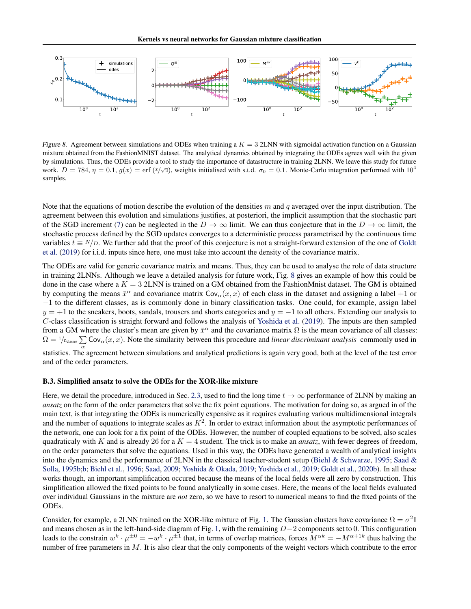

*Figure 8.* Agreement between simulations and ODEs when training a  $K = 3$  2LNN with sigmoidal activation function on a Gaussian mixture obtained from the FashionMNIST dataset. The analytical dynamics obtained by integrating the ODEs agrees well with the given by simulations. Thus, the ODEs provide a tool to study the importance of datastructure in training 2LNN. We leave this study for future work.  $D = 784$ ,  $\eta = 0.1$ ,  $g(x) = \text{erf } (\sqrt[x]{2})$ , weights initialised with s.t.d.  $\sigma_0 = 0.1$ . Monte-Carlo integration performed with 10<sup>4</sup> samples.

Note that the equations of motion describe the evolution of the densities *m* and *q* averaged over the input distribution. The agreement between this evolution and simulations justifies, at posteriori, the implicit assumption that the stochastic part of the SGD increment [\(7\)](#page-0-0) can be neglected in the  $D \to \infty$  limit. We can thus conjecture that in the  $D \to \infty$  limit, the stochastic process defined by the SGD updates converges to a deterministic process parametrised by the continuous time variables  $t \equiv N/D$ . We further add that the proof of this conjecture is not a straight-forward extension of the one of [Goldt](#page-0-0) [et al.](#page-0-0) [\(2019\)](#page-0-0) for i.i.d. inputs since here, one must take into account the density of the covariance matrix.

The ODEs are valid for generic covariance matrix and means. Thus, they can be used to analyse the role of data structure in training 2LNNs. Although we leave a detailed analysis for future work, Fig. [8](#page-0-0) gives an example of how this could be done in the case where a *K* = 3 2LNN is trained on a GM obtained from the FashionMnist dataset. The GM is obtained by computing the means  $\bar{x}^{\alpha}$  and covariance matrix  $Cov_{\alpha}(x, x)$  of each class in the dataset and assigning a label +1 or  $-1$  to the different classes, as is commonly done in binary classification tasks. One could, for example, assign label  $y = +1$  to the sneakers, boots, sandals, trousers and shorts categories and  $y = -1$  to all others. Extending our analysis to *C*-class classification is straight forward and follows the analysis of [Yoshida et al.](#page-0-0) [\(2019\)](#page-0-0). The inputs are then sampled from a GM where the cluster's mean are given by  $\bar{x}^{\alpha}$  and the covariance matrix  $\Omega$  is the mean covariance of all classes:  $\Omega = 1/r_{\text{classes}} \sum \text{Cov}_{\alpha}(x, x)$ . Note the similarity between this procedure and *linear discriminant analysis* commonly used in statistics. The agreement between simulations and analytical predictions is again very good, both at the level of the test error

and of the order parameters.

#### B.3. Simplified ansatz to solve the ODEs for the XOR-like mixture

Here, we detail the procedure, introduced in Sec. [2.3,](#page-0-0) used to find the long time  $t \to \infty$  performance of 2LNN by making an *ansatz* on the form of the order parameters that solve the fix point equations. The motivation for doing so, as argued in of the main text, is that integrating the ODEs is numerically expensive as it requires evaluating various multidimensional integrals and the number of equations to integrate scales as  $K^2$ . In order to extract information about the asymptotic performances of the network, one can look for a fix point of the ODEs. However, the number of coupled equations to be solved, also scales quadraticaly with *K* and is already 26 for a  $K = 4$  student. The trick is to make an *ansatz*, with fewer degrees of freedom, on the order parameters that solve the equations. Used in this way, the ODEs have generated a wealth of analytical insights into the dynamics and the performance of 2LNN in the classical teacher-student setup [\(Biehl & Schwarze,](#page-0-0) [1995;](#page-0-0) [Saad &](#page-0-0) [Solla,](#page-0-0) [1995b;b;](#page-0-0) [Biehl et al.,](#page-0-0) [1996;](#page-0-0) [Saad,](#page-0-0) [2009;](#page-0-0) [Yoshida & Okada,](#page-0-0) [2019;](#page-0-0) [Yoshida et al.,](#page-0-0) [2019;](#page-0-0) [Goldt et al.,](#page-0-0) [2020b\)](#page-0-0). In all these works though, an important simplification occured because the means of the local fields were all zero by construction. This simplification allowed the fixed points to be found analytically in some cases. Here, the means of the local fields evaluated over individual Gaussians in the mixture are *not* zero, so we have to resort to numerical means to find the fixed points of the ODEs.

Consider, for example, a 2LNN trained on the XOR-like mixture of Fig. [1.](#page-0-0) The Gaussian clusters have covariance  $\Omega = \sigma^2 \mathbb{I}$ and means chosen as in the left-hand-side diagram of Fig. [1,](#page-0-0) with the remaining  $D-2$  components set to 0. This configuration leads to the constrain  $w^k \cdot \mu^{\pm 0} = -w^k \cdot \mu^{\pm 1}$  that, in terms of overlap matrices, forces  $M^{\alpha k} = -M^{\alpha+1k}$  thus halving the number of free parameters in *M*. It is also clear that the only components of the weight vectors which contribute to the error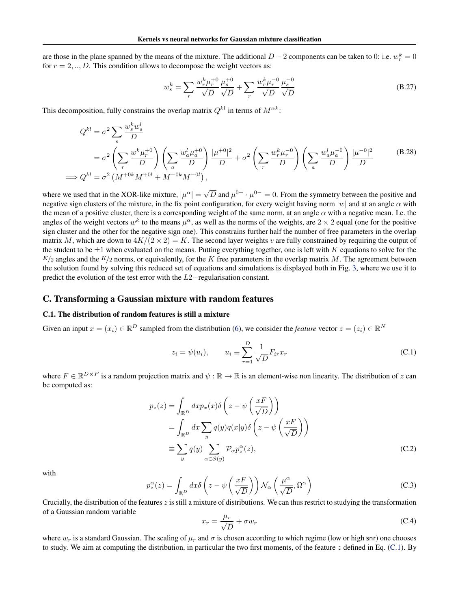are those in the plane spanned by the means of the mixture. The additional  $D-2$  components can be taken to 0: i.e.  $w_r^k = 0$ for  $r = 2, \ldots, D$ . This condition allows to decompose the weight vectors as:

$$
w_s^k = \sum_r \frac{w_r^k \mu_r^{+0}}{\sqrt{D}} \frac{\mu_s^{+0}}{\sqrt{D}} + \sum_r \frac{w_r^k \mu_r^{-0}}{\sqrt{D}} \frac{\mu_s^{-0}}{\sqrt{D}}
$$
(B.27)

This decomposition, fully constrains the overlap matrix  $Q^{kl}$  in terms of  $M^{\alpha k}$ :

$$
Q^{kl} = \sigma^2 \sum_{s} \frac{w_s^k w_s^l}{D} = \sigma^2 \left( \sum_{r} \frac{w^k \mu_r^{+0}}{D} \right) \left( \sum_{a} \frac{w_a^l \mu_a^{+0}}{D} \right) \frac{|\mu^{+0}|^2}{D} + \sigma^2 \left( \sum_{r} \frac{w_r^k \mu_r^{-0}}{D} \right) \left( \sum_{a} \frac{w_a^l \mu_a^{-0}}{D} \right) \frac{|\mu^{-0}|^2}{D} \implies Q^{kl} = \sigma^2 \left( M^{+0k} M^{+0l} + M^{-0k} M^{-0l} \right),
$$
 (B.28)

where we used that in the XOR-like mixture,  $|\mu^{\alpha}| = \sqrt{D}$  and  $\mu^{0+} \cdot \mu^{0-} = 0$ . From the symmetry between the positive and negative sign clusters of the mixture, in the fix point configuration, for every weight having norm  $|w|$  and at an angle  $\alpha$  with the mean of a positive cluster, there is a corresponding weight of the same norm, at an angle  $\alpha$  with a negative mean. I.e. the angles of the weight vectors  $w^k$  to the means  $\mu^{\alpha}$ , as well as the norms of the weights, are  $2 \times 2$  equal (one for the positive sign cluster and the other for the negative sign one). This constrains further half the number of free parameters in the overlap matrix M, which are down to  $4K/(2 \times 2) = K$ . The second layer weights v are fully constrained by requiring the output of the student to be *±*1 when evaluated on the means. Putting everything together, one is left with *K* equations to solve for the  $K/2$  angles and the  $K/2$  norms, or equivalently, for the *K* free parameters in the overlap matrix *M*. The agreement between the solution found by solving this reduced set of equations and simulations is displayed both in Fig. [3,](#page-0-0) where we use it to predict the evolution of the test error with the  $L2$ -regularisation constant.

## C. Transforming a Gaussian mixture with random features

#### C.1. The distribution of random features is still a mixture

Given an input  $x = (x_i) \in \mathbb{R}^D$  sampled from the distribution [\(6\)](#page-0-0), we consider the *feature* vector  $z = (z_i) \in \mathbb{R}^N$ 

$$
z_i = \psi(u_i), \qquad u_i \equiv \sum_{r=1}^{D} \frac{1}{\sqrt{D}} F_{ir} x_r \tag{C.1}
$$

where  $F \in \mathbb{R}^{D \times P}$  is a random projection matrix and  $\psi : \mathbb{R} \to \mathbb{R}$  is an element-wise non linearity. The distribution of *z* can be computed as:

$$
p_z(z) = \int_{\mathbb{R}^D} dx p_x(x) \delta\left(z - \psi\left(\frac{xF}{\sqrt{D}}\right)\right)
$$
  
= 
$$
\int_{\mathbb{R}^D} dx \sum_y q(y) q(x|y) \delta\left(z - \psi\left(\frac{xF}{\sqrt{D}}\right)\right)
$$
  
\equiv 
$$
\sum_y q(y) \sum_{\alpha \in S(y)} \mathcal{P}_{\alpha} p_z^{\alpha}(z),
$$
 (C.2)

with

$$
p_z^{\alpha}(z) = \int_{\mathbb{R}^D} dx \delta\left(z - \psi\left(\frac{xF}{\sqrt{D}}\right)\right) \mathcal{N}_{\alpha}\left(\frac{\mu^{\alpha}}{\sqrt{D}}, \Omega^{\alpha}\right)
$$
(C.3)

Crucially, the distribution of the features *z* is still a mixture of distributions. We can thus restrict to studying the transformation of a Gaussian random variable

$$
x_r = \frac{\mu_r}{\sqrt{D}} + \sigma w_r \tag{C.4}
$$

where  $w_r$  is a standard Gaussian. The scaling of  $\mu_r$  and  $\sigma$  is chosen according to which regime (low or high snr) one chooses to study. We aim at computing the distribution, in particular the two first moments, of the feature *z* defined in Eq. [\(C.1\)](#page-0-0). By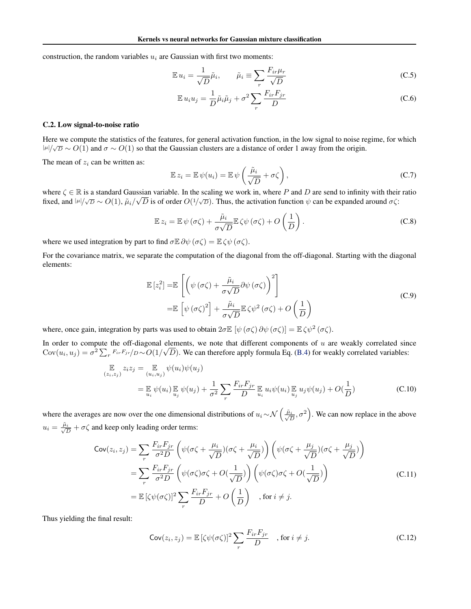construction, the random variables  $u_i$  are Gaussian with first two moments:

$$
\mathbb{E}\,u_i = \frac{1}{\sqrt{D}}\tilde{\mu}_i, \qquad \tilde{\mu}_i \equiv \sum_r \frac{F_{ir}\mu_r}{\sqrt{D}}\tag{C.5}
$$

$$
\mathbb{E} u_i u_j = \frac{1}{D} \tilde{\mu}_i \tilde{\mu}_j + \sigma^2 \sum_r \frac{F_{ir} F_{jr}}{D}
$$
 (C.6)

#### C.2. Low signal-to-noise ratio

Here we compute the statistics of the features, for general activation function, in the low signal to noise regime, for which  $| \mu | / \sqrt{D} \sim O(1)$  and  $\sigma \sim O(1)$  so that the Gaussian clusters are a distance of order 1 away from the origin.

The mean of  $z_i$  can be written as:

$$
\mathbb{E}\,z_i = \mathbb{E}\,\psi(u_i) = \mathbb{E}\,\psi\left(\frac{\tilde{\mu}_i}{\sqrt{D}} + \sigma\zeta\right),\tag{C.7}
$$

where  $\zeta \in \mathbb{R}$  is a standard Gaussian variable. In the scaling we work in, where P and D are send to infinity with their ratio fixed, and  $| \mu | / \sqrt{D} \sim O(1)$ ,  $\tilde{\mu}_i / \sqrt{D}$  is of order  $O(1/\sqrt{D})$ . Thus, the activation function  $\psi$  can be expanded around  $\sigma \zeta$ :

$$
\mathbb{E}\,z_i = \mathbb{E}\,\psi\,(\sigma\zeta) + \frac{\tilde{\mu}_i}{\sigma\sqrt{D}}\mathbb{E}\,\zeta\psi\,(\sigma\zeta) + O\left(\frac{1}{D}\right). \tag{C.8}
$$

where we used integration by part to find  $\sigma \mathbb{E} \partial \psi (\sigma \zeta) = \mathbb{E} \zeta \psi (\sigma \zeta)$ .

For the covariance matrix, we separate the computation of the diagonal from the off-diagonal. Starting with the diagonal elements:

$$
\mathbb{E}\left[z_i^2\right] = \mathbb{E}\left[\left(\psi\left(\sigma\zeta\right) + \frac{\tilde{\mu}_i}{\sigma\sqrt{D}}\partial\psi\left(\sigma\zeta\right)\right)^2\right] \n= \mathbb{E}\left[\psi\left(\sigma\zeta\right)^2\right] + \frac{\tilde{\mu}_i}{\sigma\sqrt{D}}\mathbb{E}\zeta\psi^2\left(\sigma\zeta\right) + O\left(\frac{1}{D}\right)
$$
\n(C.9)

where, once gain, integration by parts was used to obtain  $2\sigma \mathbb{E} [\psi(\sigma \zeta) \partial \psi(\sigma \zeta)] = \mathbb{E} \zeta \psi^2(\sigma \zeta)$ .

In order to compute the off-diagonal elements, we note that different components of *u* are weakly correlated since Cov $(u_i, u_j) = \sigma^2 \sum_r F_{ir}F_{jr}/D \sim O(1/\sqrt{D})$ . We can therefore apply formula Eq. [\(B.4\)](#page-0-0) for weakly correlated variables:

$$
\mathbb{E}_{(z_i, z_j)} z_i z_j = \mathbb{E}_{(u_i, u_j)} \psi(u_i) \psi(u_j)
$$
  
=  $\mathbb{E}_{u_i} \psi(u_i) \mathbb{E}_{u_j} \psi(u_j) + \frac{1}{\sigma^2} \sum_r \frac{F_{ir} F_{jr}}{D} \mathbb{E}_{u_i} u_i \psi(u_i) \mathbb{E}_{u_j} u_j \psi(u_j) + O(\frac{1}{D})$  (C.10)

where the averages are now over the one dimensional distributions of  $u_i \sim \mathcal{N}\left(\frac{\tilde{\mu}_i}{\sqrt{D}}, \sigma^2\right)$ . We can now replace in the above  $u_i = \frac{\tilde{\mu}_i}{\sqrt{D}} + \sigma \zeta$  and keep only leading order terms:

$$
\text{Cov}(z_i, z_j) = \sum_r \frac{F_{ir} F_{jr}}{\sigma^2 D} \left( \psi(\sigma \zeta + \frac{\mu_i}{\sqrt{D}}) (\sigma \zeta + \frac{\mu_i}{\sqrt{D}}) \right) \left( \psi(\sigma \zeta + \frac{\mu_j}{\sqrt{D}}) (\sigma \zeta + \frac{\mu_j}{\sqrt{D}}) \right)
$$
  
\n
$$
= \sum_r \frac{F_{ir} F_{jr}}{\sigma^2 D} \left( \psi(\sigma \zeta) \sigma \zeta + O(\frac{1}{\sqrt{D}}) \right) \left( \psi(\sigma \zeta) \sigma \zeta + O(\frac{1}{\sqrt{D}}) \right)
$$
  
\n
$$
= \mathbb{E} \left[ \zeta \psi(\sigma \zeta) \right]^2 \sum_r \frac{F_{ir} F_{jr}}{D} + O\left(\frac{1}{D}\right) \quad \text{, for } i \neq j.
$$
 (C.11)

Thus yielding the final result:

$$
\text{Cov}(z_i, z_j) = \mathbb{E}\left[\zeta\psi(\sigma\zeta)\right]^2 \sum_r \frac{F_{ir}F_{jr}}{D} \quad \text{, for } i \neq j. \tag{C.12}
$$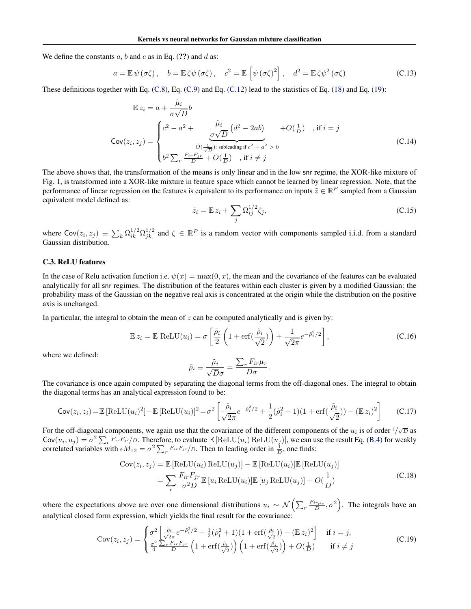We define the constants  $a$ ,  $b$  and  $c$  as in Eq. (??) and  $d$  as:

$$
a = \mathbb{E}\,\psi\,(\sigma\zeta)\,, \quad b = \mathbb{E}\,\zeta\psi\,(\sigma\zeta)\,, \quad c^2 = \mathbb{E}\,\left[\psi\,(\sigma\zeta)^2\right], \quad d^2 = \mathbb{E}\,\zeta\psi^2\,(\sigma\zeta) \tag{C.13}
$$

These definitions together with Eq. [\(C.8\)](#page-0-0), Eq. [\(C.9\)](#page-0-0) and Eq. [\(C.12\)](#page-0-0) lead to the statistics of Eq. [\(18\)](#page-0-0) and Eq. [\(19\)](#page-0-0):

$$
\mathbb{E} z_i = a + \frac{\tilde{\mu}_i}{\sigma \sqrt{D}} b
$$
\n
$$
\mathsf{Cov}(z_i, z_j) = \begin{cases}\nc^2 - a^2 + \frac{\tilde{\mu}_i}{\sigma \sqrt{D}} \left(d^2 - 2ab\right) & +O(\frac{1}{D}) , \text{ if } i = j \\
& O(\frac{1}{\sqrt{D}}) \text{ subleading if } c^2 - a^2 > 0 \\
& b^2 \sum_r \frac{F_{ir} F_{jr}}{D} + O(\frac{1}{D}) , \text{ if } i \neq j\n\end{cases} \tag{C.14}
$$

The above shows that, the transformation of the means is only linear and in the low snr regime, the XOR-like mixture of Fig. [1,](#page-0-0) is transformed into a XOR-like mixture in feature space which cannot be learned by linear regression. Note, that the performance of linear regression on the features is equivalent to its performance on inputs  $\tilde{z} \in \mathbb{R}^P$  sampled from a Gaussian equivalent model defined as:

$$
\tilde{z}_i = \mathbb{E} z_i + \sum_j \Omega_{ij}^{1/2} \zeta_j,\tag{C.15}
$$

where  $Cov(z_i, z_j) \equiv \sum_k \Omega_{ik}^{1/2} \Omega_{jk}^{1/2}$  and  $\zeta \in \mathbb{R}^P$  is a random vector with components sampled i.i.d. from a standard Gaussian distribution.

## C.3. ReLU features

In the case of Relu activation function i.e.  $\psi(x) = \max(0, x)$ , the mean and the covariance of the features can be evaluated analytically for all snr regimes. The distribution of the features within each cluster is given by a modified Gaussian: the probability mass of the Gaussian on the negative real axis is concentrated at the origin while the distribution on the positive axis is unchanged.

In particular, the integral to obtain the mean of  $z$  can be computed analytically and is given by:

$$
\mathbb{E} z_i = \mathbb{E} \text{ ReLU}(u_i) = \sigma \left[ \frac{\tilde{\rho}_i}{2} \left( 1 + \text{erf}\left(\frac{\tilde{\rho}_i}{\sqrt{2}}\right) \right) + \frac{1}{\sqrt{2\pi}} e^{-\tilde{\rho}_i^2/2} \right],\tag{C.16}
$$

where we defined:

$$
\tilde{\rho}_i \equiv \frac{\tilde{\mu}_i}{\sqrt{D}\sigma} = \frac{\sum_r F_{ir}\mu_r}{D\sigma}.
$$

The covariance is once again computed by separating the diagonal terms from the off-diagonal ones. The integral to obtain the diagonal terms has an analytical expression found to be:

$$
\text{Cov}(z_i, z_i) = \mathbb{E}\left[\text{ReLU}(u_i)^2\right] - \mathbb{E}\left[\text{ReLU}(u_i)\right]^2 = \sigma^2 \left[\frac{\tilde{\rho}_i}{\sqrt{2\pi}}e^{-\tilde{\rho}_i^2/2} + \frac{1}{2}(\tilde{\rho}_i^2 + 1)(1 + \text{erf}\left(\frac{\tilde{\rho}_i}{\sqrt{2}}\right)) - (\mathbb{E}z_i)^2\right] \tag{C.17}
$$

For the off-diagonal components, we again use that the covariance of the different components of the  $u_i$  is of order  $1/\sqrt{D}$  as  $\text{Cov}(u_i, u_j) = \sigma^2 \sum_r F_{ir} F_{jr} / D$ . Therefore, to evaluate  $\mathbb{E} [\text{ReLU}(u_i) \text{ReLU}(u_j)]$ , we can use the result Eq. [\(B.4\)](#page-0-0) for weakly correlated variables with  $\epsilon M_{12} = \sigma^2 \sum_r F_{ir} F_{jr} / D$ . Then to leading order in  $\frac{1}{D}$ , one finds:

$$
Cov(z_i, z_j) = \mathbb{E} [\text{ReLU}(u_i) \text{ReLU}(u_j)] - \mathbb{E} [\text{ReLU}(u_i)] \mathbb{E} [\text{ReLU}(u_j)]
$$
  

$$
= \sum_r \frac{F_{ir} F_{jr}}{\sigma^2 D} \mathbb{E} [u_i \text{ReLU}(u_i)] \mathbb{E} [u_j \text{ReLU}(u_j)] + O(\frac{1}{D})
$$
(C.18)

where the expectations above are over one dimensional distributions  $u_i \sim \mathcal{N}\left(\sum_r \frac{F_{ir\mu r}}{D}, \sigma^2\right)$ . The integrals have an analytical closed form expression, which yields the final result for the covariance:

$$
\text{Cov}(z_i, z_j) = \begin{cases} \sigma^2 \left[ \frac{\tilde{\rho}_i}{\sqrt{2\pi}} e^{-\tilde{\rho}_i^2/2} + \frac{1}{2} (\tilde{\rho}_i^2 + 1)(1 + \text{erf}(\frac{\tilde{\rho}_i}{\sqrt{2}})) - (\mathbb{E} z_i)^2 \right] & \text{if } i = j, \\ \frac{\sigma^2}{4} \frac{\sum_r F_{ir} F_{jr}}{D} \left( 1 + \text{erf}(\frac{\tilde{\rho}_i}{\sqrt{2}}) \right) \left( 1 + \text{erf}(\frac{\tilde{\rho}_j}{\sqrt{2}}) \right) + O(\frac{1}{D}) & \text{if } i \neq j \end{cases} \tag{C.19}
$$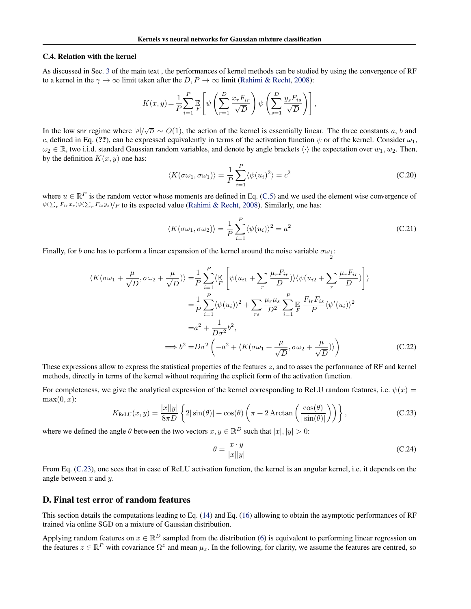### C.4. Relation with the kernel

As discussed in Sec. [3](#page-0-0) of the main text , the performances of kernel methods can be studied by using the convergence of RF to a kernel in the  $\gamma \to \infty$  limit taken after the *D*, *P*  $\to \infty$  limit [\(Rahimi & Recht,](#page-0-0) [2008\)](#page-0-0):

$$
K(x,y) = \frac{1}{P} \sum_{i=1}^{P} \mathbb{E}\left[\psi\left(\sum_{r=1}^{D} \frac{x_r F_{ir}}{\sqrt{D}}\right) \psi\left(\sum_{s=1}^{D} \frac{y_s F_{is}}{\sqrt{D}}\right)\right],
$$

In the low snr regime where  $|\mu|/\sqrt{D} \sim O(1)$ , the action of the kernel is essentially linear. The three constants *a*, *b* and *c*, defined in Eq. (??), can be expressed equivalently in terms of the activation function  $\psi$  or of the kernel. Consider  $\omega_1$ ,  $\omega_2 \in \mathbb{R}$ , two i.i.d. standard Gaussian random variables, and denote by angle brackets  $\langle \cdot \rangle$  the expectation over  $w_1, w_2$ . Then, by the definition  $K(x, y)$  one has:

$$
\langle K(\sigma\omega_1, \sigma\omega_1) \rangle = \frac{1}{P} \sum_{i=1}^{P} \langle \psi(u_i)^2 \rangle = c^2
$$
 (C.20)

where  $u \in \mathbb{R}^P$  is the random vector whose moments are defined in Eq. [\(C.5\)](#page-0-0) and we used the element wise convergence of  $\psi(\sum_{r} F_{ir}x_r)\psi(\sum_{r} F_{is}y_s)/P$  to its expected value [\(Rahimi & Recht,](#page-0-0) [2008\)](#page-0-0). Similarly, one has:

$$
\langle K(\sigma\omega_1, \sigma\omega_2) \rangle = \frac{1}{P} \sum_{i=1}^{P} \langle \psi(u_i) \rangle^2 = a^2
$$
\n(C.21)

Finally, for *b* one has to perform a linear expansion of the kernel around the noise variable  $\sigma\omega_1$ :

$$
\langle K(\sigma\omega_1 + \frac{\mu}{\sqrt{D}}, \sigma\omega_2 + \frac{\mu}{\sqrt{D}}) \rangle = \frac{1}{P} \sum_{i=1}^P \langle \mathbb{E} \left[ \psi(u_{i1} + \sum_r \frac{\mu_r F_{ir}}{D}) \rangle \langle \psi(u_{i2} + \sum_r \frac{\mu_r F_{ir}}{D}) \right] \rangle
$$
  
\n
$$
= \frac{1}{P} \sum_{i=1}^P \langle \psi(u_i) \rangle^2 + \sum_{rs} \frac{\mu_r \mu_s}{D^2} \sum_{i=1}^P \mathbb{E} \frac{F_{ir} F_{is}}{P} \langle \psi'(u_i) \rangle^2
$$
  
\n
$$
= a^2 + \frac{1}{D\sigma^2} b^2,
$$
  
\n
$$
\implies b^2 = D\sigma^2 \left( -a^2 + \langle K(\sigma\omega_1 + \frac{\mu}{\sqrt{D}}, \sigma\omega_2 + \frac{\mu}{\sqrt{D}}) \rangle \right)
$$
 (C.22)

These expressions allow to express the statistical properties of the features *z*, and to asses the performance of RF and kernel methods, directly in terms of the kernel without requiring the explicit form of the activation function.

For completeness, we give the analytical expression of the kernel corresponding to ReLU random features, i.e.  $\psi(x)$  =  $max(0, x)$ :

$$
K_{\text{ReLU}}(x, y) = \frac{|x||y|}{8\pi D} \left\{ 2|\sin(\theta)| + \cos(\theta) \left( \pi + 2 \arctan\left(\frac{\cos(\theta)}{|\sin(\theta)|}\right) \right) \right\},\tag{C.23}
$$

where we defined the angle  $\theta$  between the two vectors  $x, y \in \mathbb{R}^D$  such that  $|x|, |y| > 0$ :

$$
\theta = \frac{x \cdot y}{|x||y|} \tag{C.24}
$$

From Eq. [\(C.23\)](#page-0-0), one sees that in case of ReLU activation function, the kernel is an angular kernel, i.e. it depends on the angle between *x* and *y*.

## D. Final test error of random features

This section details the computations leading to Eq. [\(14\)](#page-0-0) and Eq. [\(16\)](#page-0-0) allowing to obtain the asymptotic performances of RF trained via online SGD on a mixture of Gaussian distribution.

Applying random features on  $x \in \mathbb{R}^D$  sampled from the distribution [\(6\)](#page-0-0) is equivalent to performing linear regression on the features  $z \in \mathbb{R}^P$  with covariance  $\Omega^z$  and mean  $\mu_z$ . In the following, for clarity, we assume the features are centred, so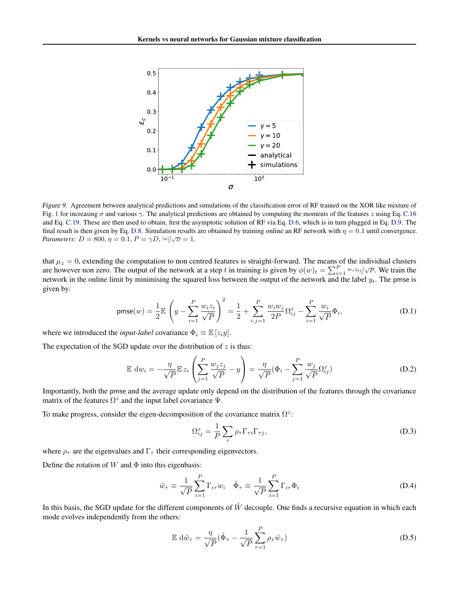

*Figure 9.* Agreement between analytical predictions and simulations of the classification error of RF trained on the XOR like mixture of Fig. [1](#page-0-0) for increasing  $\sigma$  and various  $\gamma$ . The analytical predictions are obtained by computing the moments of the features *z* using Eq. [C.16](#page-0-0) and Eq. [C.19.](#page-0-0) These are then used to obtain, first the asymptotic solution of RF via Eq. [D.6,](#page-0-0) which is in turn plugged in Eq. [D.9.](#page-0-0) The final result is then given by Eq. [D.8.](#page-0-0) Simulation results are obtained by training online an RF network with  $\eta = 0.1$  until convergence. *Parameters:*  $D = 800, \eta = 0.1, P = \gamma D, |\mu|/\sqrt{D} = 1.$ 

that  $\mu_z = 0$ , extending the computation to non centred features is straight-forward. The means of the individual clusters are however non zero. The output of the network at a step *t* in training is given by  $\phi(w)_t = \sum_{i=1}^p w_i z_{ti}/\sqrt{P}$ . We train the network in the online limit by minimising the squared loss between the output of the network and the label  $y_t$ . The pmse is given by:

$$
\text{pmse}(w) = \frac{1}{2} \mathbb{E} \left( y - \sum_{i=1}^{P} \frac{w_i z_i}{\sqrt{P}} \right)^2 = \frac{1}{2} + \sum_{i,j=1}^{P} \frac{w_i w_j}{2P} \Omega_{ij}^z - \sum_{i=1}^{P} \frac{w_i}{\sqrt{P}} \Phi_i, \tag{D.1}
$$

where we introduced the *input-label* covariance  $\Phi_i \equiv \mathbb{E}[z_i y]$ .

The expectation of the SGD update over the distribution of *z* is thus:

$$
\mathbb{E} \, dw_i = -\frac{\eta}{\sqrt{P}} \mathbb{E} \, z_i \left( \sum_{j=1}^P \frac{w_j z_j}{\sqrt{P}} - y \right) = \frac{\eta}{\sqrt{P}} (\Phi_i - \sum_{j=1}^P \frac{w_j}{\sqrt{P}} \Omega_{ij}^z)
$$
\n(D.2)

Importantly, both the pmse and the average update only depend on the distribution of the features through the covariance matrix of the features  $\Omega^z$  and the input label covariance  $\Psi$ .

To make progress, consider the eigen-decomposition of the covariance matrix  $\Omega^z$ :

$$
\Omega_{ij}^z = \frac{1}{P} \sum_{\tau} \rho_{\tau} \Gamma_{\tau i} \Gamma_{\tau j},\tag{D.3}
$$

where  $\rho_{\tau}$  are the eigenvalues and  $\Gamma_{\tau}$  their corresponding eigenvectors.

Define the rotation of  $W$  and  $\Phi$  into this eigenbasis:

$$
\tilde{w}_{\tau} \equiv \frac{1}{\sqrt{P}} \sum_{i=1}^{P} \Gamma_{i\tau} w_i \quad \tilde{\Phi}_{\tau} \equiv \frac{1}{\sqrt{P}} \sum_{i=1}^{P} \Gamma_{i\tau} \Phi_i
$$
\n(D.4)

In this basis, the SGD update for the different components of  $\tilde{W}$  decouple. One finds a recursive equation in which each mode evolves independently from the others:

$$
\mathbb{E} \, d\tilde{w}_{\tau} = \frac{\eta}{\sqrt{P}} (\tilde{\Phi}_{\tau} - \frac{1}{\sqrt{P}} \sum_{\tau=1}^{P} \rho_{\tau} \tilde{w}_{\tau})
$$
\n(D.5)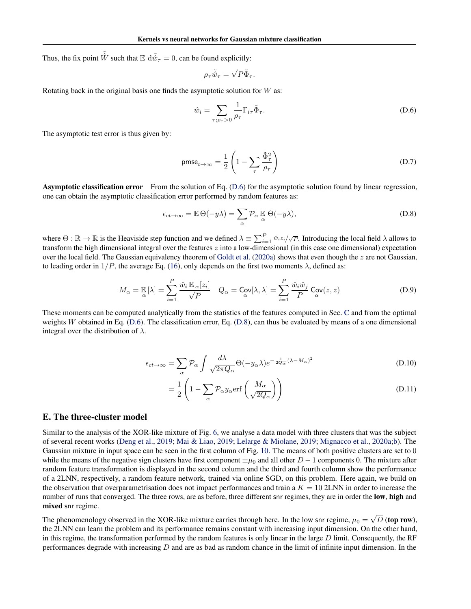Thus, the fix point  $\tilde{\hat{W}}$  such that  $\mathbb{E} d\tilde{\hat{w}}_{\tau} = 0$ , can be found explicitly:

$$
\rho_\tau \tilde{\hat{w}}_\tau = \sqrt{P} \tilde{\Phi}_\tau.
$$

Rotating back in the original basis one finds the asymptotic solution for *W* as:

$$
\hat{w}_i = \sum_{\tau; \rho_\tau > 0} \frac{1}{\rho_\tau} \Gamma_{i\tau} \tilde{\Phi}_\tau.
$$
\n(D.6)

The asymptotic test error is thus given by:

$$
\text{pmse}_{t \to \infty} = \frac{1}{2} \left( 1 - \sum_{\tau} \frac{\tilde{\Phi}_{\tau}^2}{\rho_{\tau}} \right) \tag{D.7}
$$

Asymptotic classification error From the solution of Eq. [\(D.6\)](#page-0-0) for the asymptotic solution found by linear regression, one can obtain the asymptotic classification error performed by random features as:

$$
\epsilon_{ct \to \infty} = \mathbb{E} \Theta(-y\lambda) = \sum_{\alpha} \mathcal{P}_{\alpha} \mathbb{E}_{\alpha} \Theta(-y\lambda), \tag{D.8}
$$

where  $\Theta : \mathbb{R} \to \mathbb{R}$  is the Heaviside step function and we defined  $\lambda \equiv \sum_{i=1}^{P} \hat{w}_i z_i / \sqrt{P}$ . Introducing the local field  $\lambda$  allows to transform the high dimensional integral over the features *z* into a low-dimensional (in this case one dimensional) expectation over the local field. The Gaussian equivalency theorem of [Goldt et al.](#page-0-0) [\(2020a\)](#page-0-0) shows that even though the *z* are not Gaussian, to leading order in  $1/P$ , the average Eq. [\(16\)](#page-0-0), only depends on the first two moments  $\lambda$ , defined as:

$$
M_{\alpha} = \mathbb{E}[\lambda] = \sum_{i=1}^{P} \frac{\hat{w}_i \mathbb{E}_{\alpha}[z_i]}{\sqrt{P}} \quad Q_{\alpha} = \mathsf{Cov}[\lambda, \lambda] = \sum_{i=1}^{P} \frac{\hat{w}_i \hat{w}_j}{P} \mathsf{Cov}(z, z)
$$
(D.9)

These moments can be computed analytically from the statistics of the features computed in Sec. [C](#page-0-0) and from the optimal weights *W* obtained in Eq. [\(D.6\)](#page-0-0). The classification error, Eq. [\(D.8\)](#page-0-0), can thus be evaluated by means of a one dimensional integral over the distribution of  $\lambda$ .

$$
\epsilon_{ct \to \infty} = \sum_{\alpha} \mathcal{P}_{\alpha} \int \frac{d\lambda}{\sqrt{2\pi Q_{\alpha}}} \Theta(-y_{\alpha}\lambda) e^{-\frac{1}{2Q_{\alpha}}(\lambda - M_{\alpha})^{2}}
$$
(D.10)

$$
= \frac{1}{2} \left( 1 - \sum_{\alpha} \mathcal{P}_{\alpha} y_{\alpha} \text{erf}\left(\frac{M_{\alpha}}{\sqrt{2Q_{\alpha}}}\right) \right)
$$
 (D.11)

## E. The three-cluster model

Similar to the analysis of the XOR-like mixture of Fig. [6,](#page-0-0) we analyse a data model with three clusters that was the subject of several recent works [\(Deng et al.,](#page-0-0) [2019;](#page-0-0) [Mai & Liao,](#page-0-0) [2019;](#page-0-0) [Lelarge & Miolane,](#page-0-0) [2019;](#page-0-0) [Mignacco et al.,](#page-0-0) [2020a;b\)](#page-0-0). The Gaussian mixture in input space can be seen in the first column of Fig. [10.](#page-0-0) The means of both positive clusters are set to 0 while the means of the negative sign clusters have first component  $\pm \mu_0$  and all other  $D-1$  components 0. The mixture after random feature transformation is displayed in the second column and the third and fourth column show the performance of a 2LNN, respectively, a random feature network, trained via online SGD, on this problem. Here again, we build on the observation that overparametrisation does not impact performances and train a  $K = 10$  2LNN in order to increase the number of runs that converged. The three rows, are as before, three different snr regimes, they are in order the **low, high** and mixed snr regime.

The phenomenology observed in the XOR-like mixture carries through here. In the low snr regime,  $\mu_0 = \sqrt{D}$  (top row), the 2LNN can learn the problem and its performance remains constant with increasing input dimension. On the other hand, in this regime, the transformation performed by the random features is only linear in the large *D* limit. Consequently, the RF performances degrade with increasing *D* and are as bad as random chance in the limit of infinite input dimension. In the